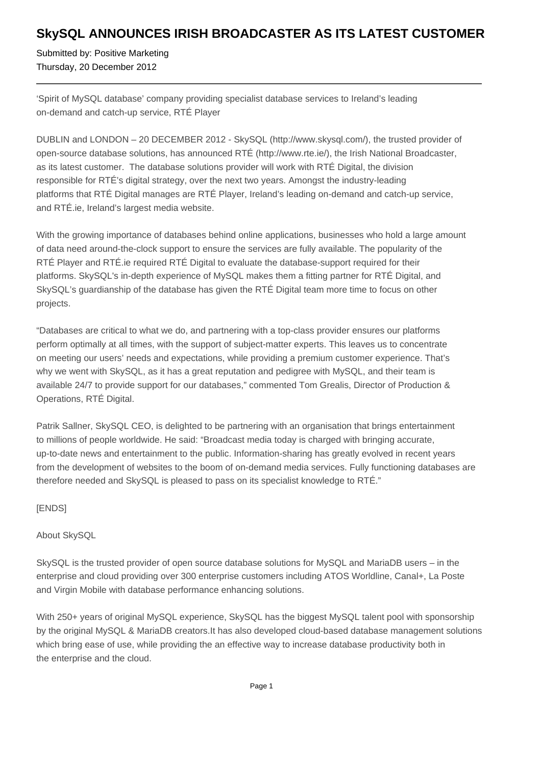## **SkySQL ANNOUNCES IRISH BROADCASTER AS ITS LATEST CUSTOMER**

Submitted by: Positive Marketing Thursday, 20 December 2012

'Spirit of MySQL database' company providing specialist database services to Ireland's leading on-demand and catch-up service, RTÉ Player

DUBLIN and LONDON – 20 DECEMBER 2012 - SkySQL (http://www.skysql.com/), the trusted provider of open-source database solutions, has announced RTÉ (http://www.rte.ie/), the Irish National Broadcaster, as its latest customer. The database solutions provider will work with RTÉ Digital, the division responsible for RTÉ's digital strategy, over the next two years. Amongst the industry-leading platforms that RTÉ Digital manages are RTÉ Player, Ireland's leading on-demand and catch-up service, and RTÉ.ie, Ireland's largest media website.

With the growing importance of databases behind online applications, businesses who hold a large amount of data need around-the-clock support to ensure the services are fully available. The popularity of the RTÉ Player and RTÉ.ie required RTÉ Digital to evaluate the database-support required for their platforms. SkySQL's in-depth experience of MySQL makes them a fitting partner for RTÉ Digital, and SkySQL's guardianship of the database has given the RTÉ Digital team more time to focus on other projects.

"Databases are critical to what we do, and partnering with a top-class provider ensures our platforms perform optimally at all times, with the support of subject-matter experts. This leaves us to concentrate on meeting our users' needs and expectations, while providing a premium customer experience. That's why we went with SkySQL, as it has a great reputation and pedigree with MySQL, and their team is available 24/7 to provide support for our databases," commented Tom Grealis, Director of Production & Operations, RTÉ Digital.

Patrik Sallner, SkySQL CEO, is delighted to be partnering with an organisation that brings entertainment to millions of people worldwide. He said: "Broadcast media today is charged with bringing accurate, up-to-date news and entertainment to the public. Information-sharing has greatly evolved in recent years from the development of websites to the boom of on-demand media services. Fully functioning databases are therefore needed and SkySQL is pleased to pass on its specialist knowledge to RTÉ."

[ENDS]

About SkySQL

SkySQL is the trusted provider of open source database solutions for MySQL and MariaDB users – in the enterprise and cloud providing over 300 enterprise customers including ATOS Worldline, Canal+, La Poste and Virgin Mobile with database performance enhancing solutions.

With 250+ years of original MySQL experience, SkySQL has the biggest MySQL talent pool with sponsorship by the original MySQL & MariaDB creators.It has also developed cloud-based database management solutions which bring ease of use, while providing the an effective way to increase database productivity both in the enterprise and the cloud.